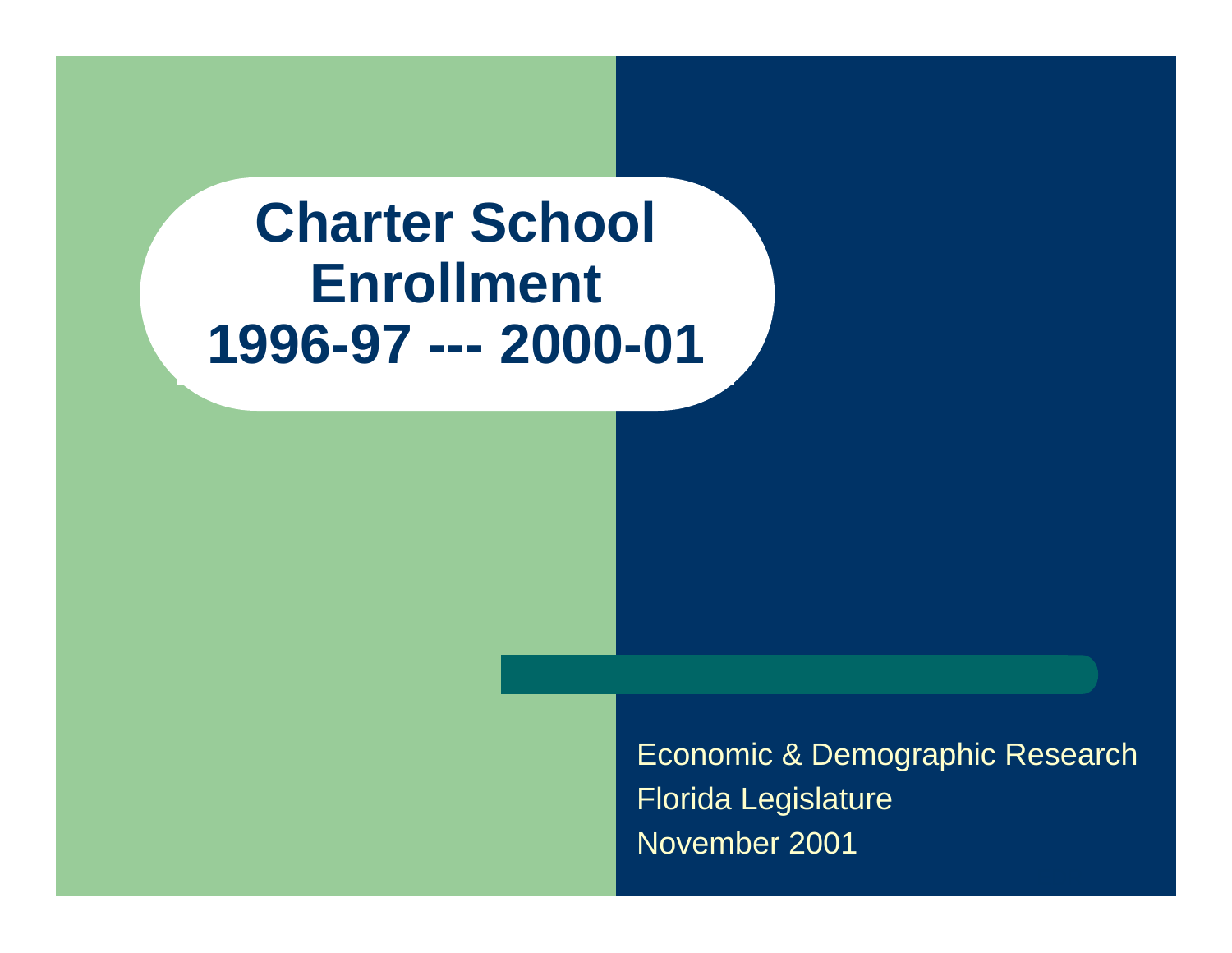## **Charter School Enrollment 1996-97 --- 2000-01**

Economic & Demographic Research Florida Legislature November 2001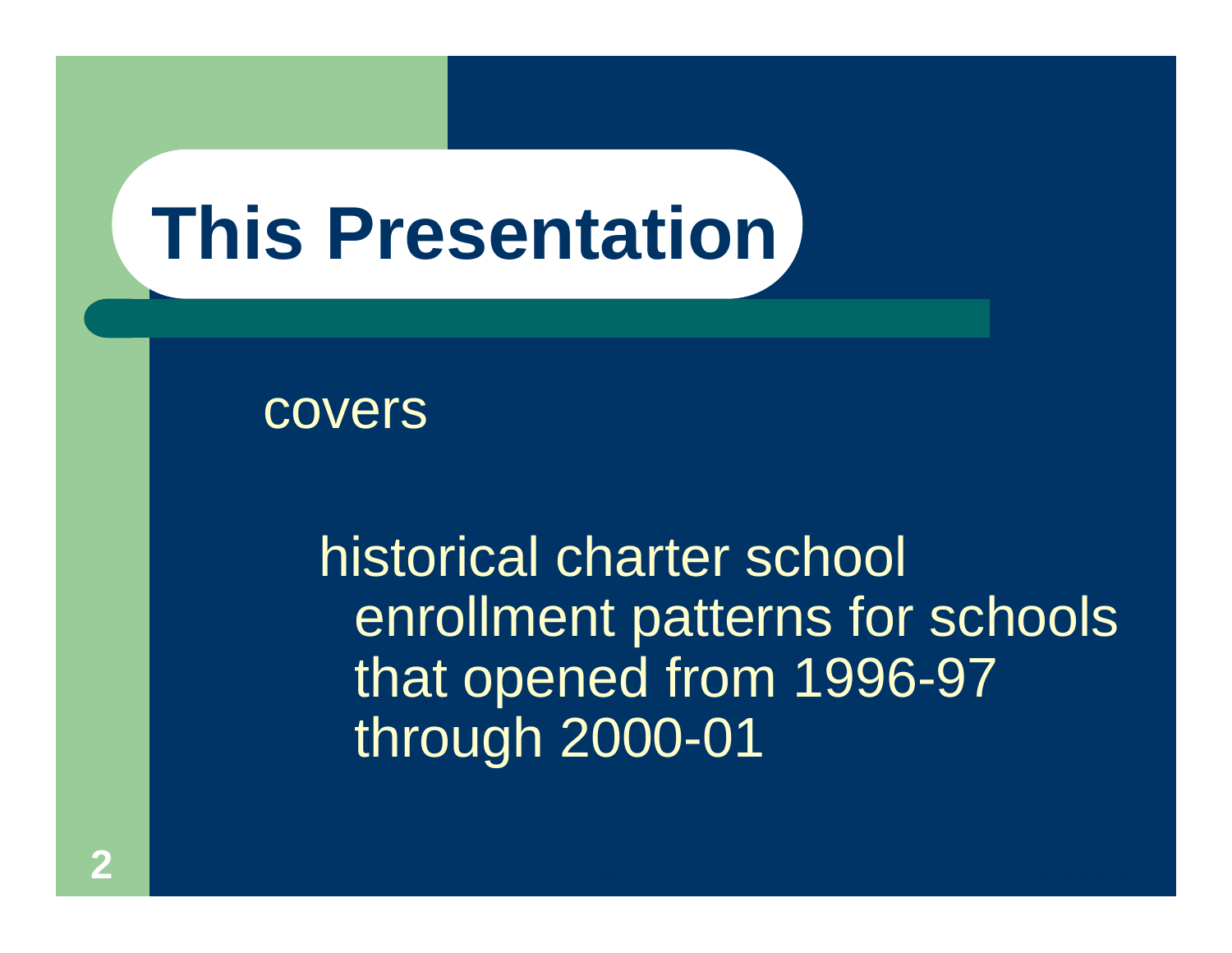# **This Presentation**

covers

historical charter school enrollment patterns for schools that opened from 1996-97 through 2000-01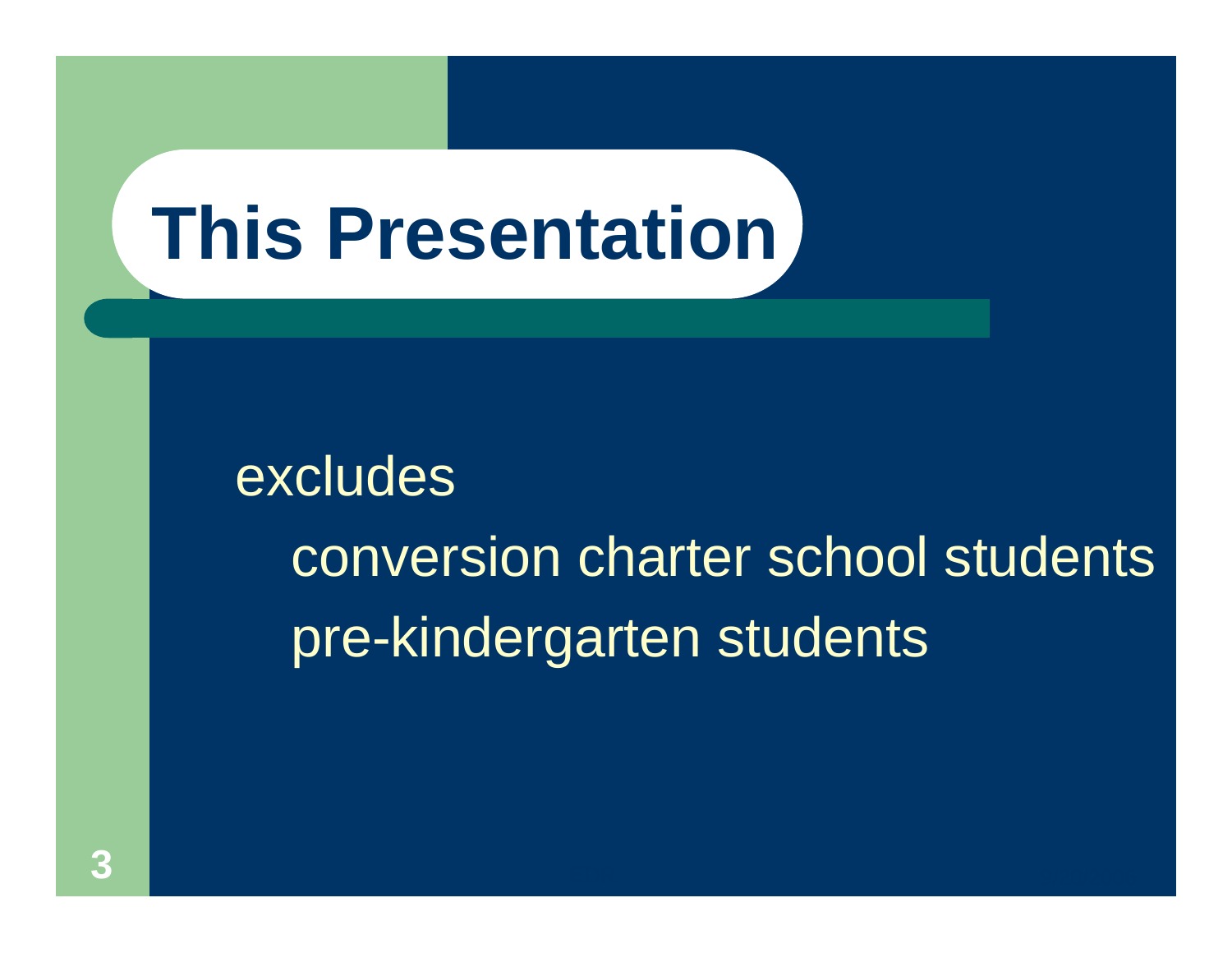# **This Presentation**

excludes conversion charter school students pre-kindergarten students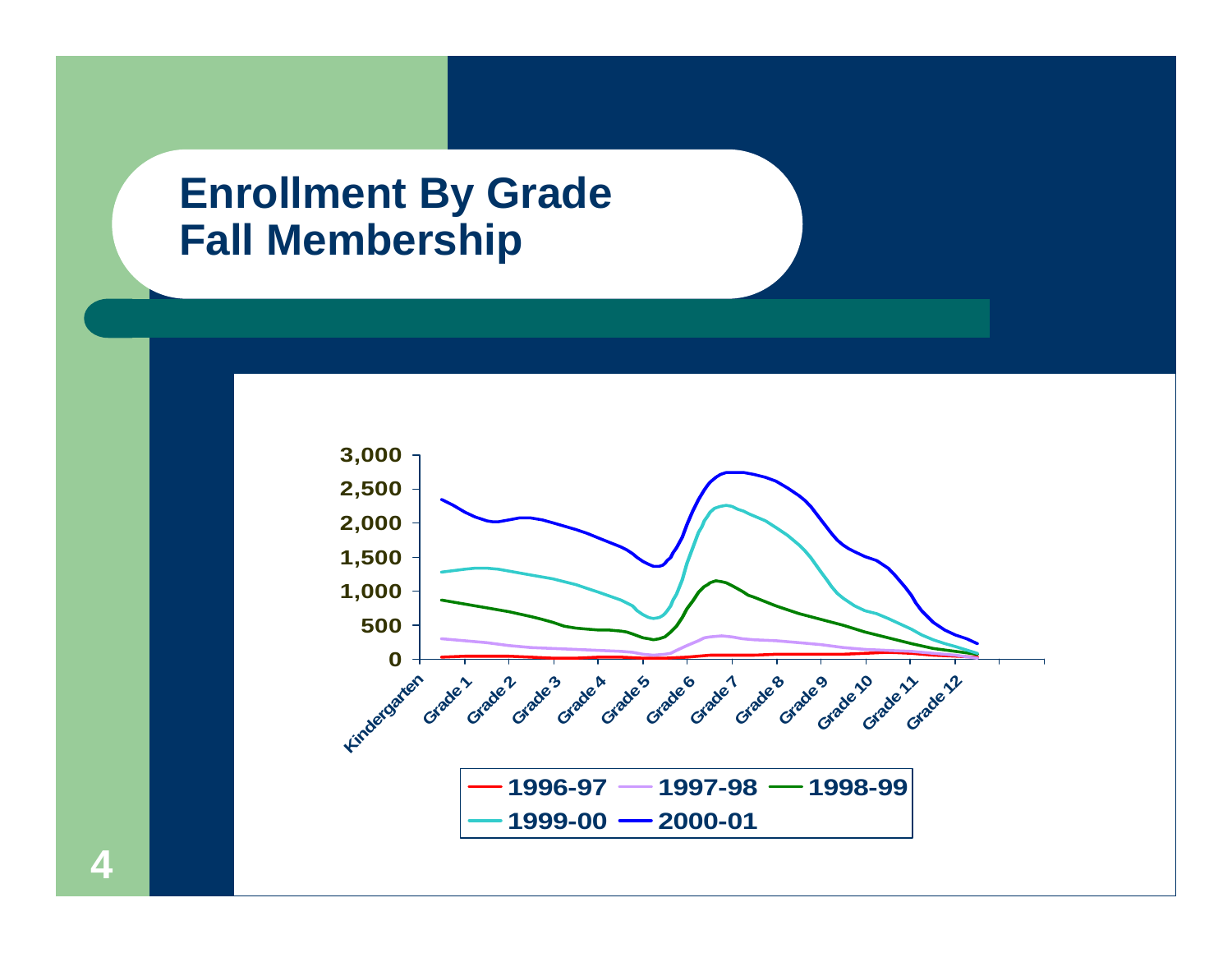#### **Enrollment By Grade Fall Membership**

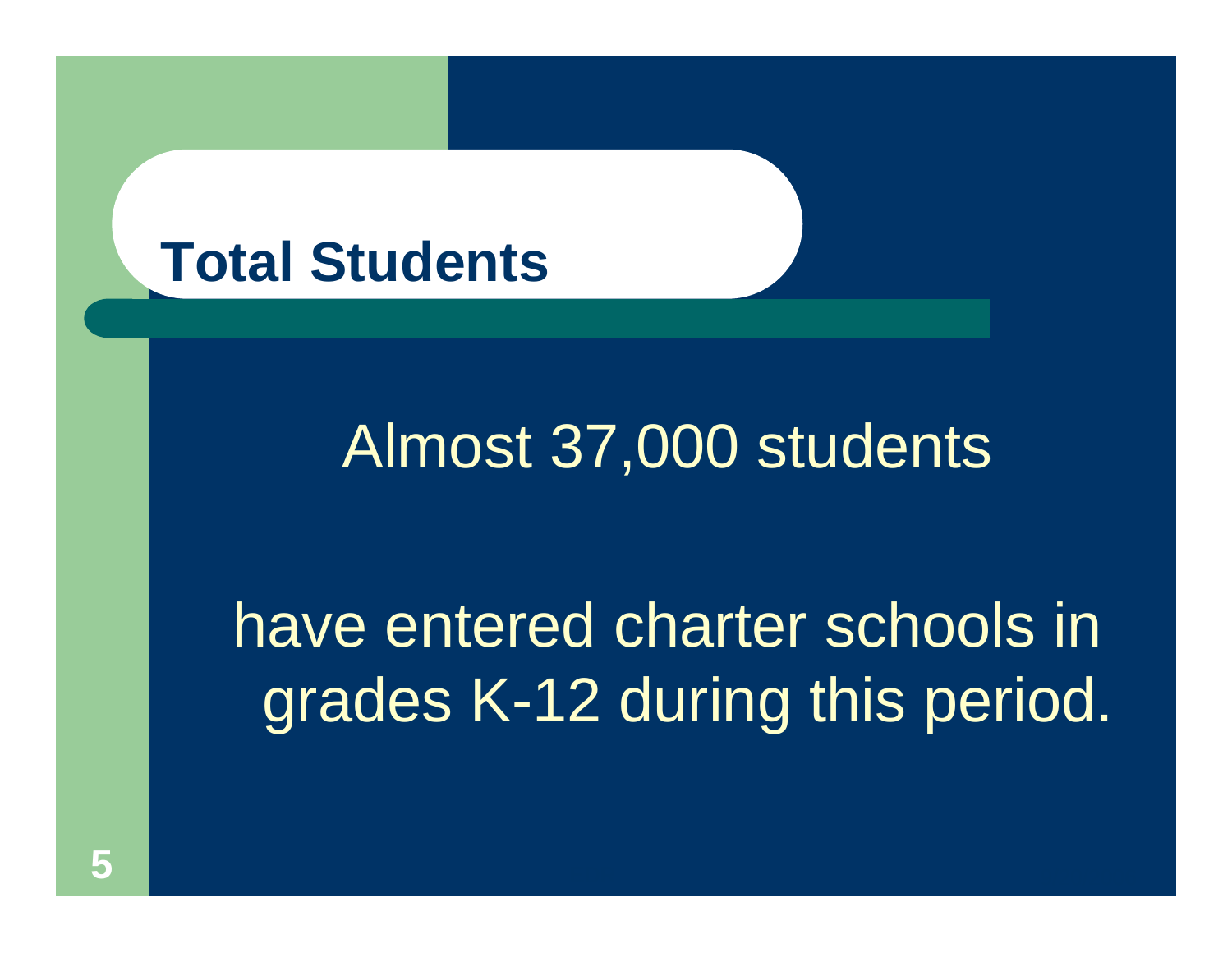

## Almost 37,000 students

## have entered charter schools in grades K-12 during this period.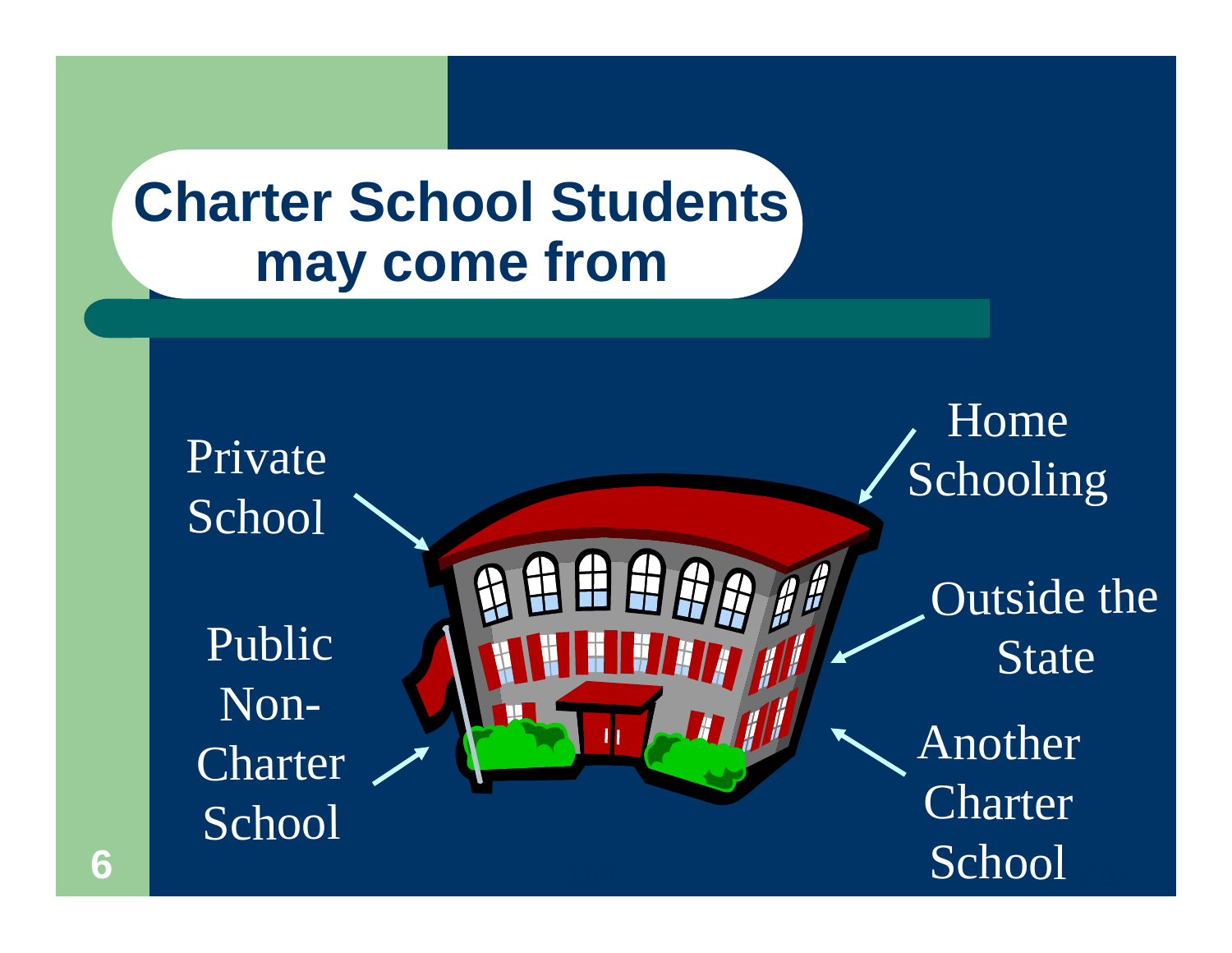## **Charter School Students may come from**

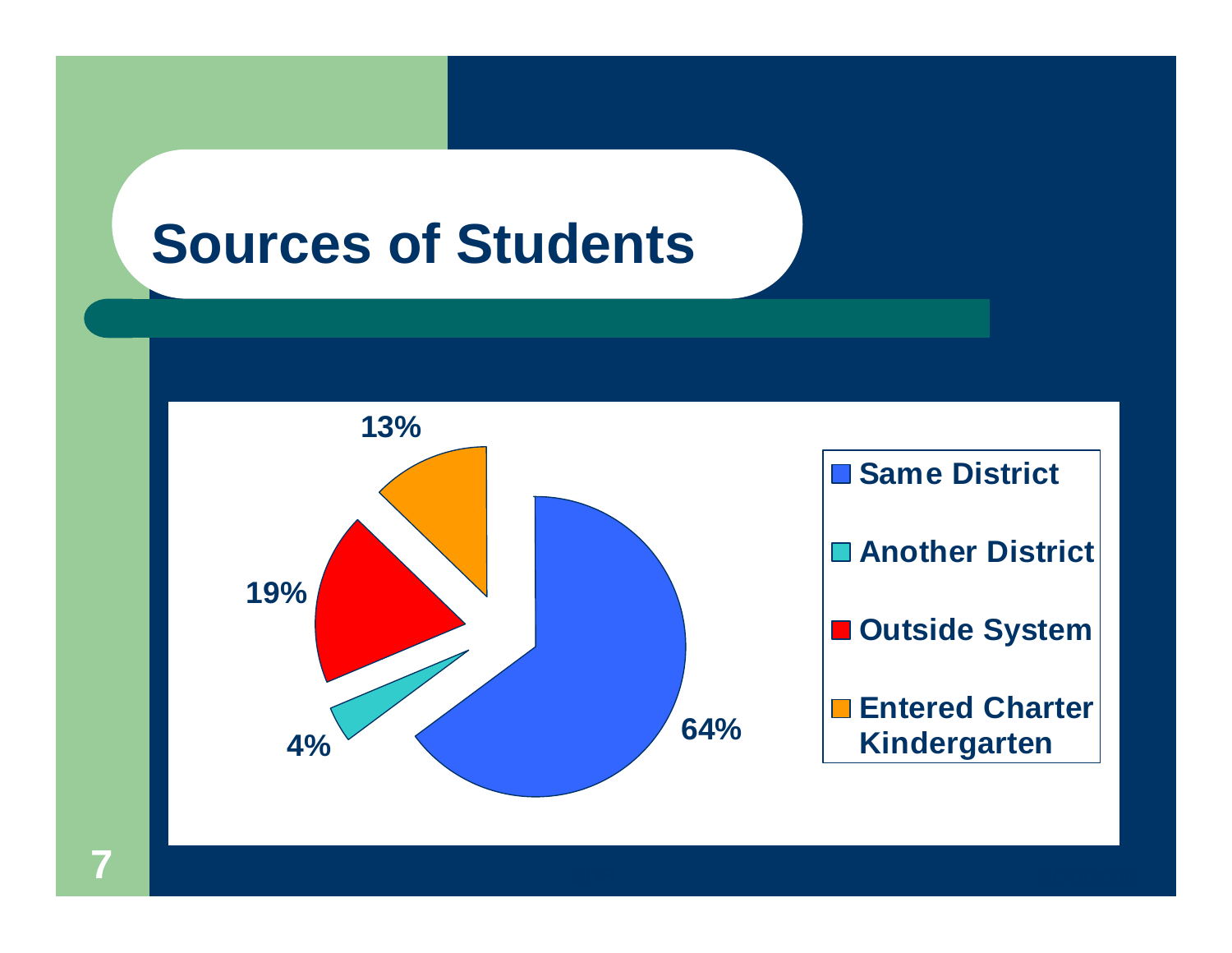## **Sources of Students**

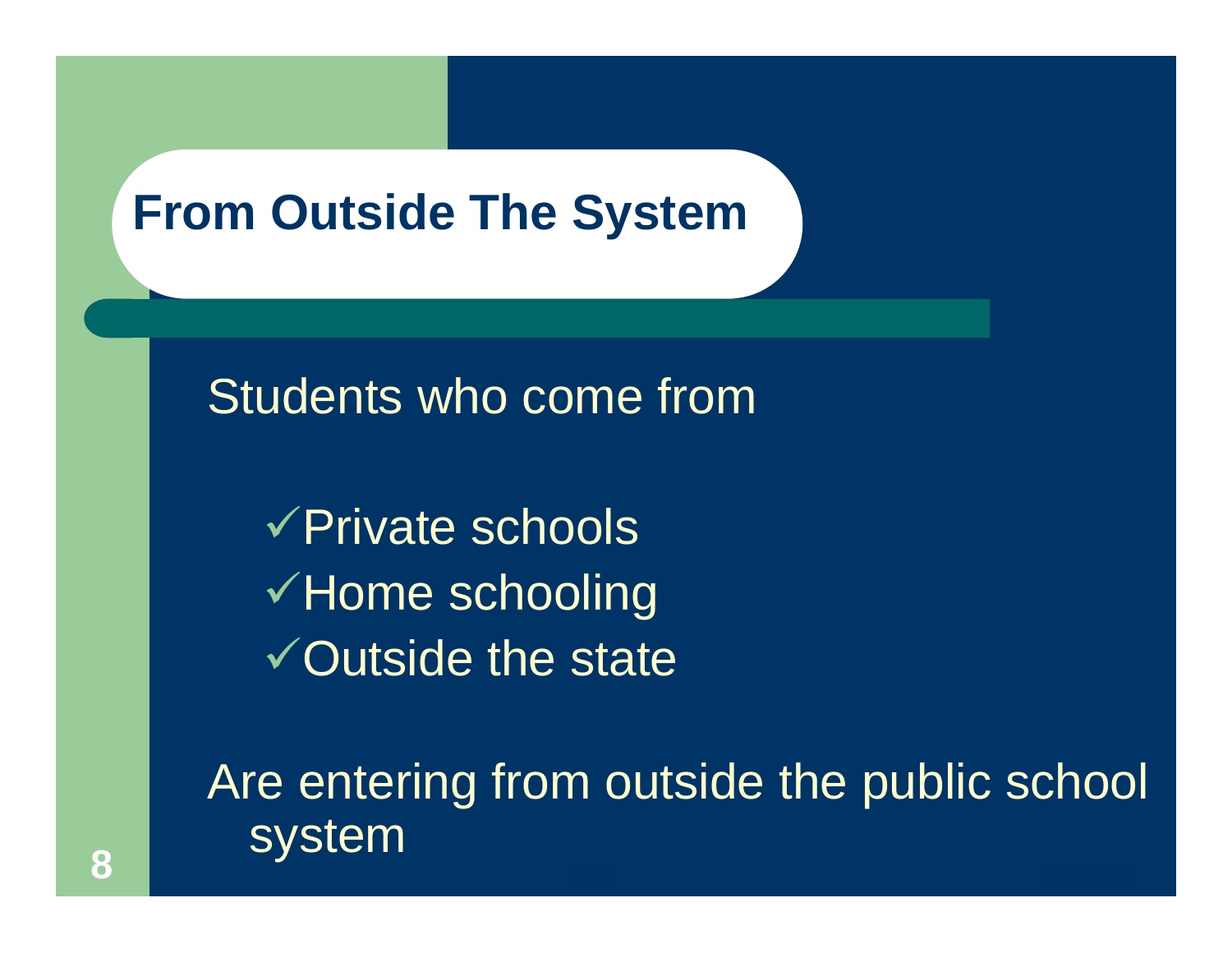#### **From Outside The System**

Students who come from

 $\sqrt{P}$ rivate schools  $\checkmark$  Home schooling  $\sqrt{\text{Outside}}$  the state

Are entering from outside the public school system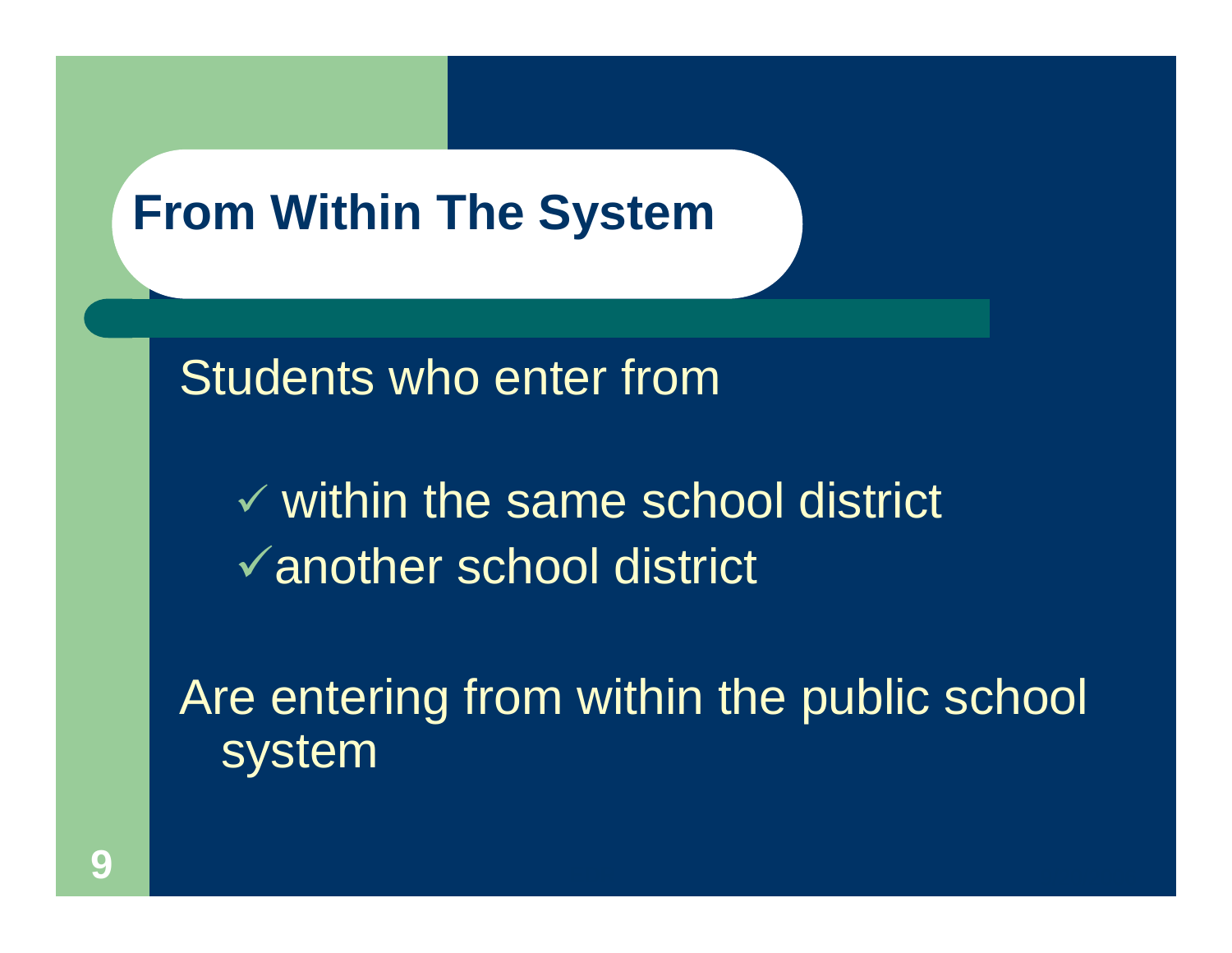#### **From Within The System**

Students who enter from

 $\checkmark$  within the same school district  $\sqrt{ }$  another school district

Are entering from within the public school system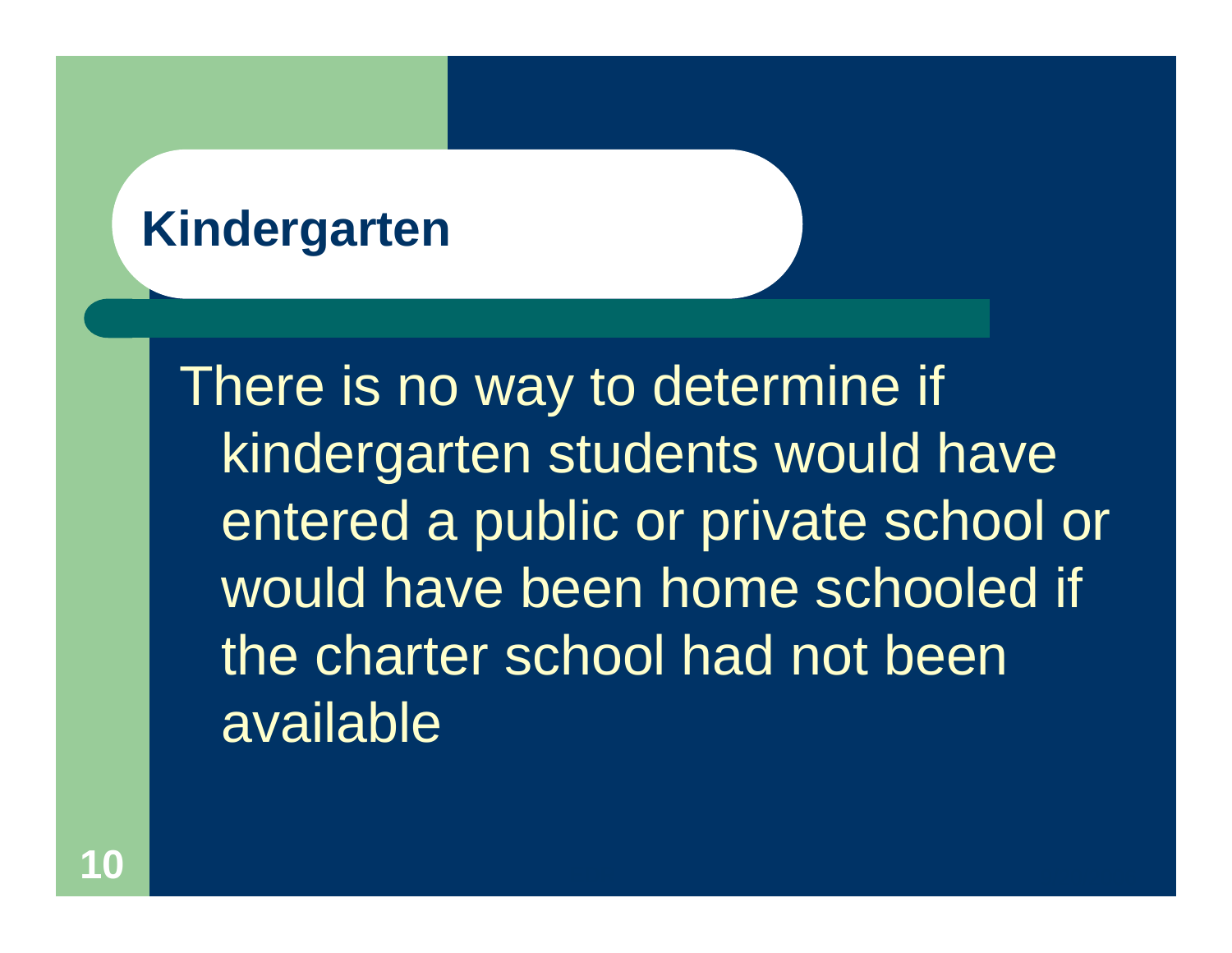#### **Kindergarten**

There is no way to determine if kindergarten students would have entered a public or private school or would have been home schooled if the charter school had not been available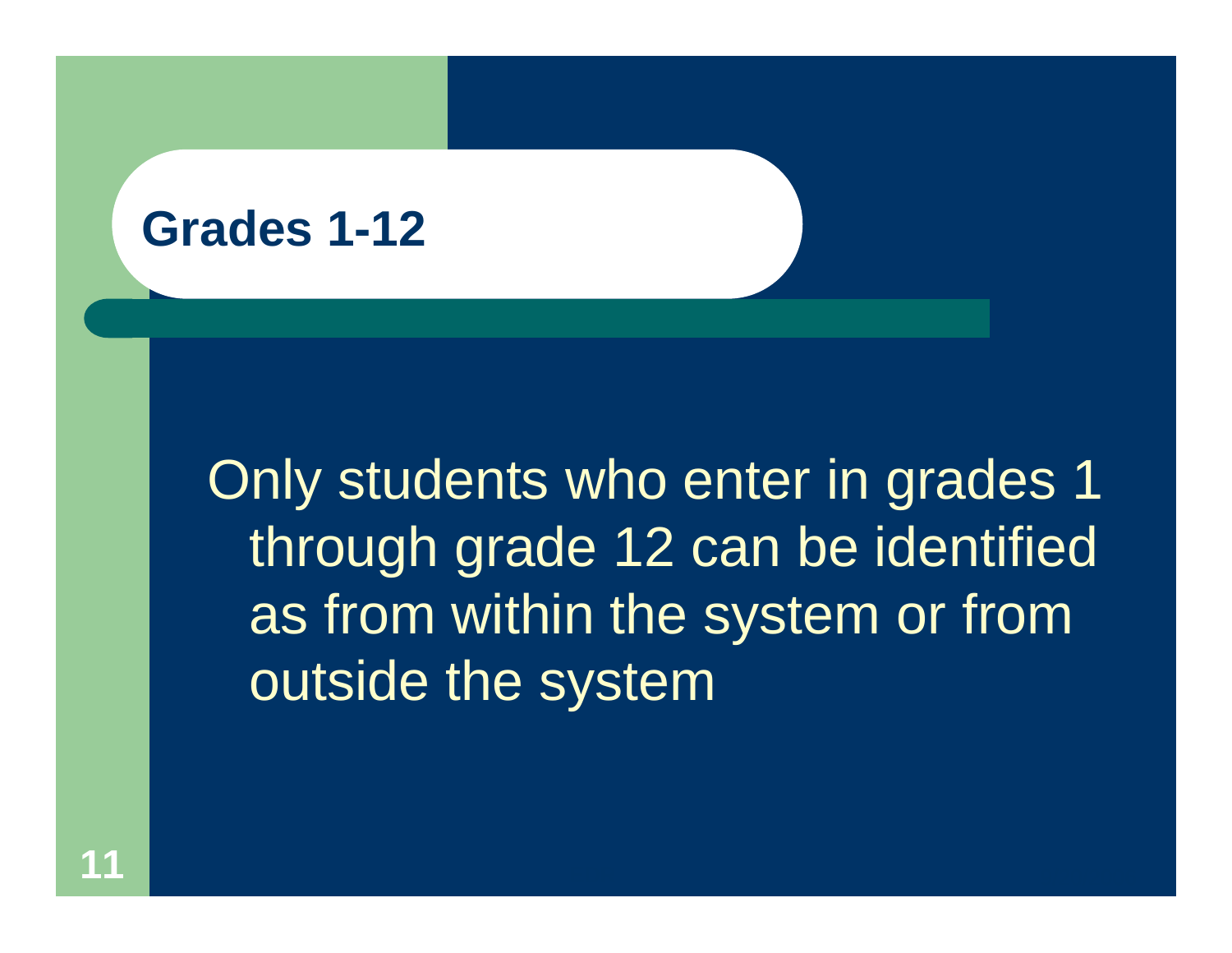#### **Grades 1-12**

Only students who enter in grades 1 through grade 12 can be identified as from within the system or from outside the system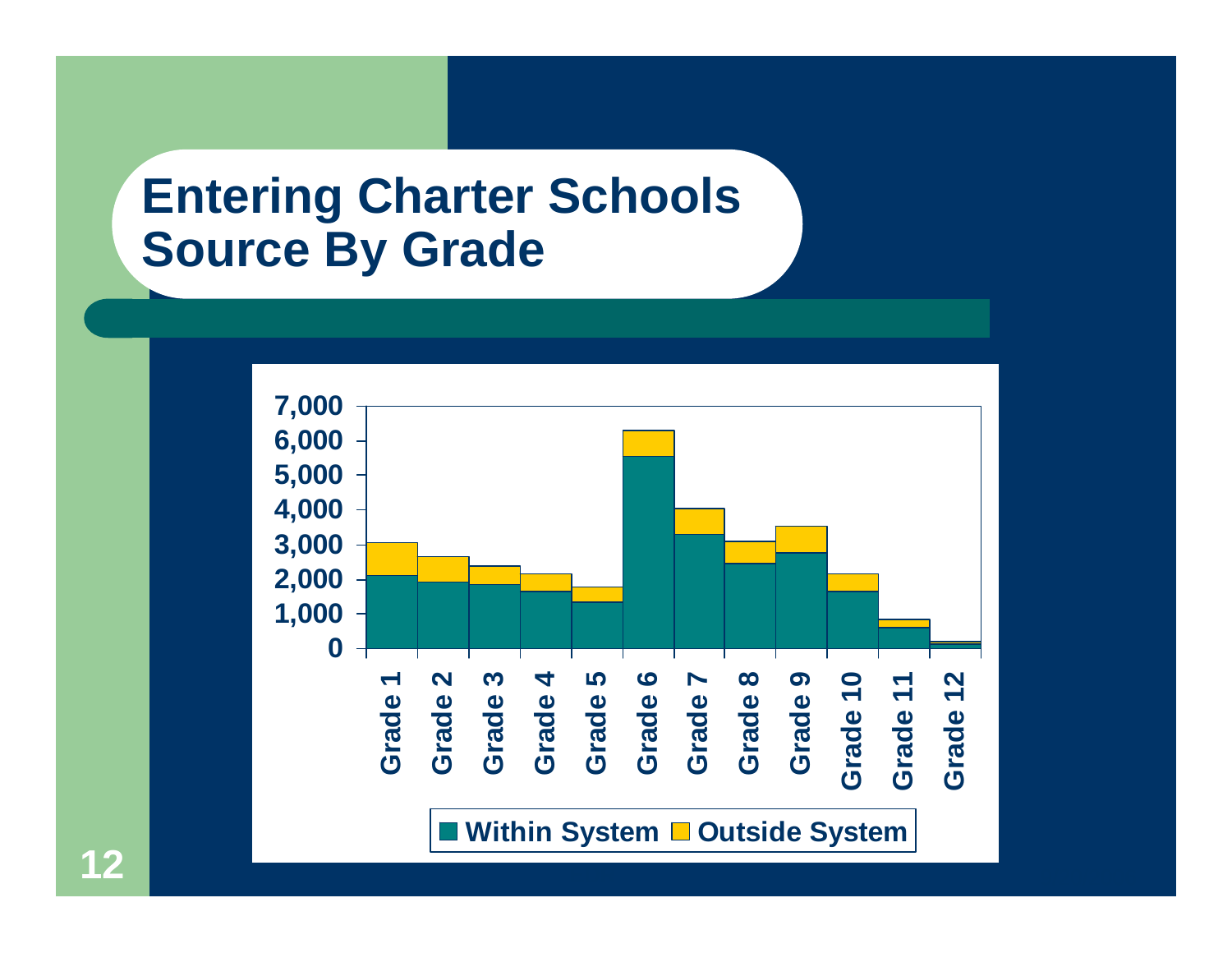#### **Entering Charter Schools Source By Grade**

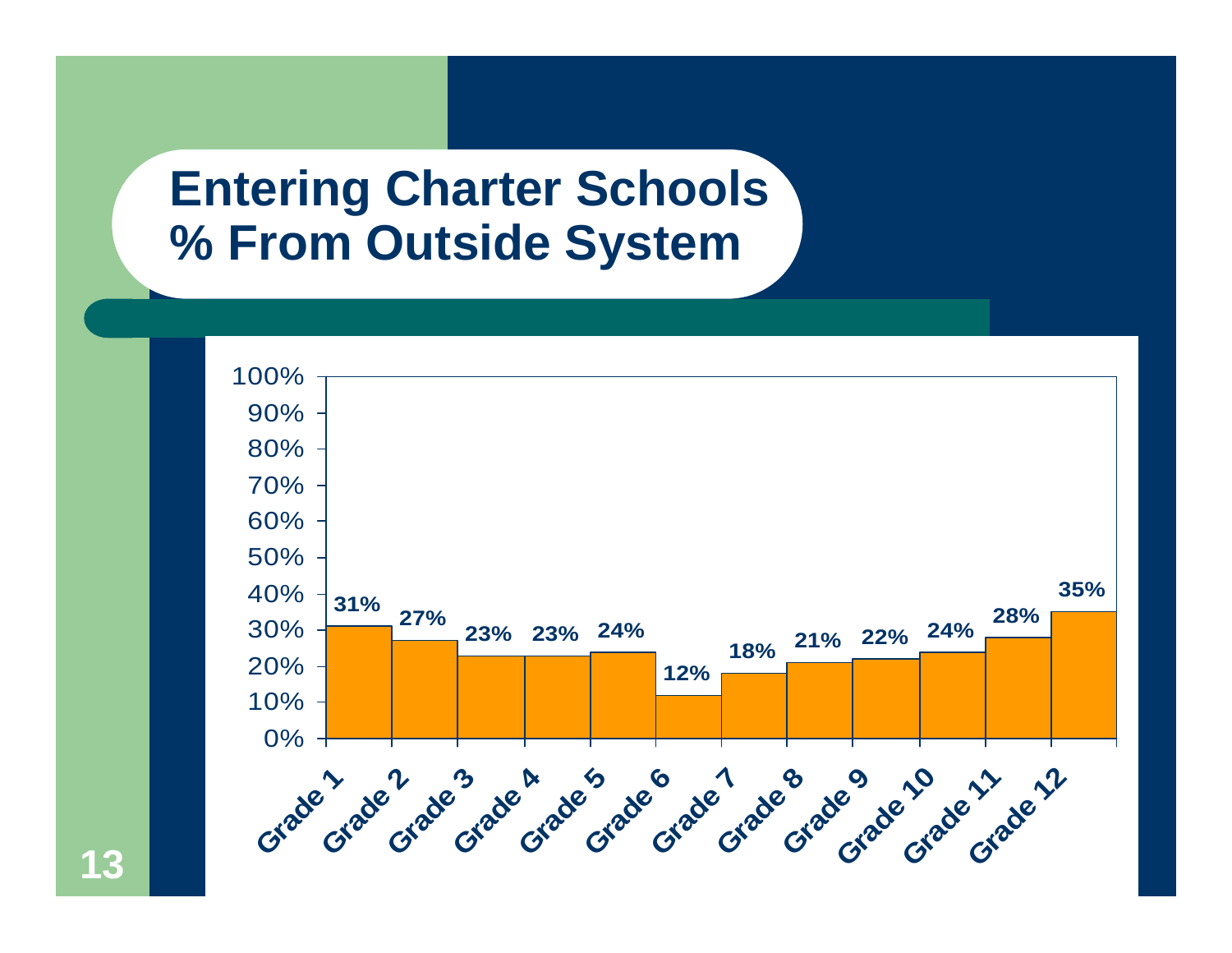#### **Entering Charter Schools % From Outside System**



**13**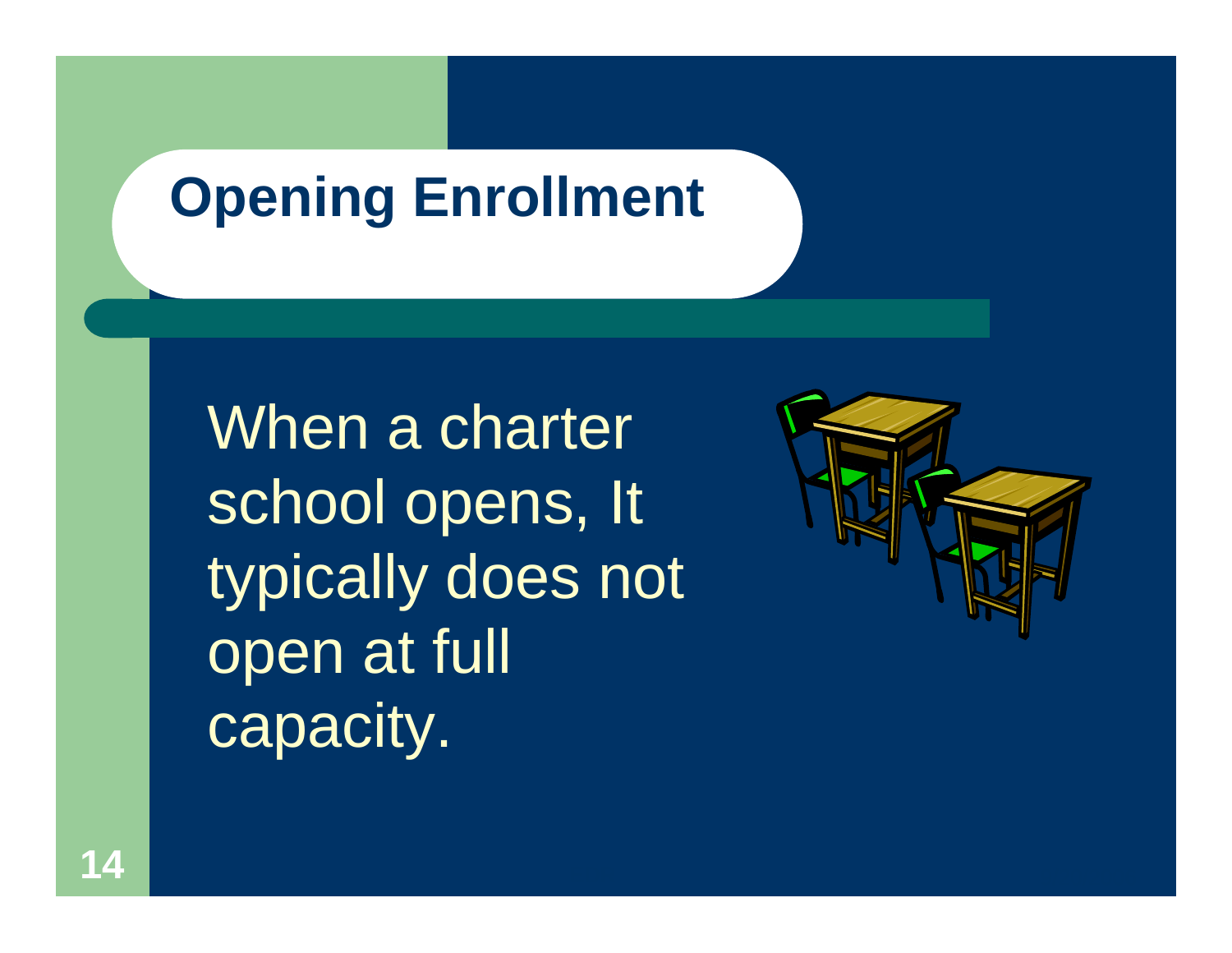## **Opening Enrollment**

When a charter school opens, It typically does not open at full capacity.

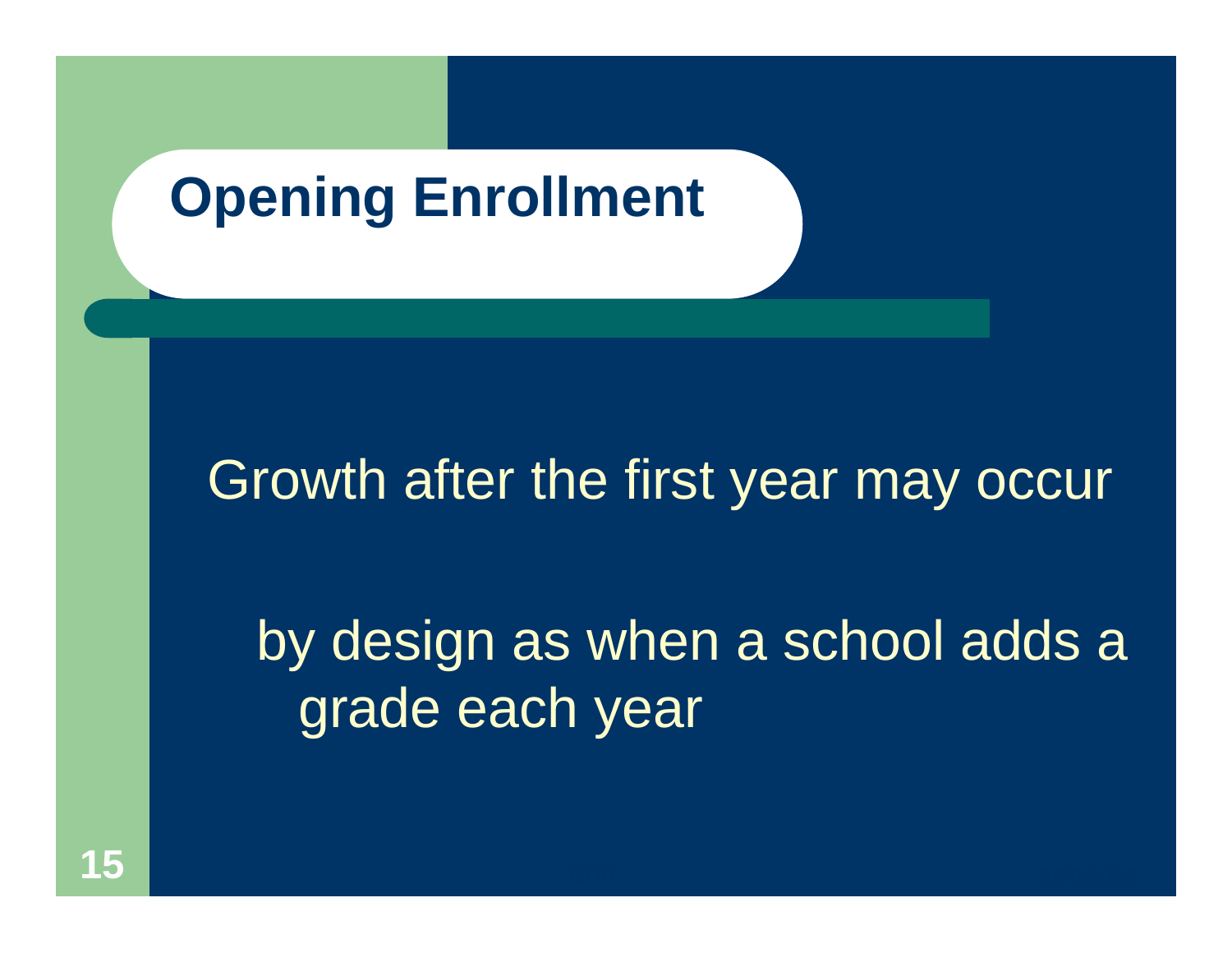## **Opening Enrollment**

#### Growth after the first year may occur

by design as when a school adds a grade each year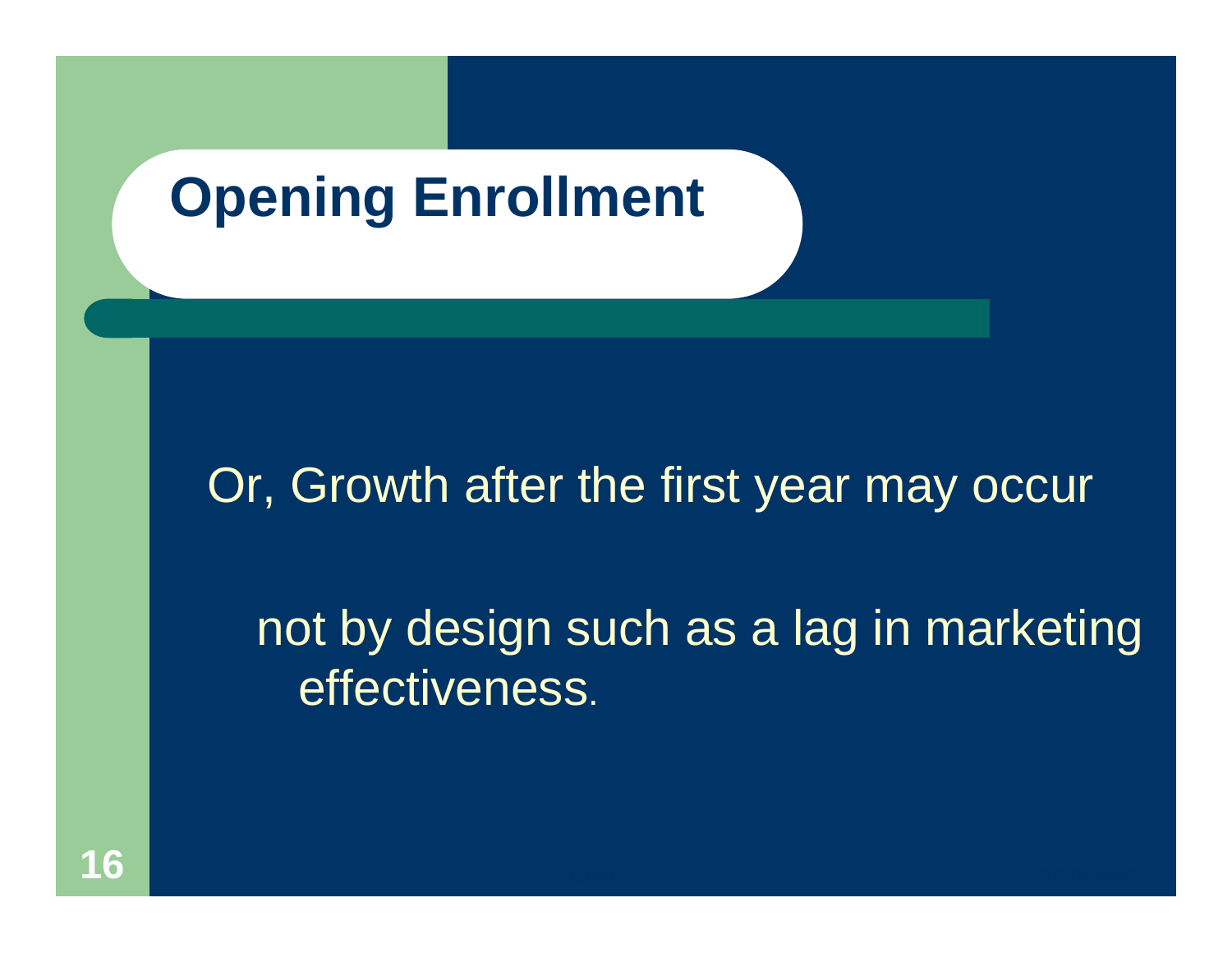## **Opening Enrollment**

#### Or, Growth after the first year may occur

not by design such as a lag in marketing effectiveness.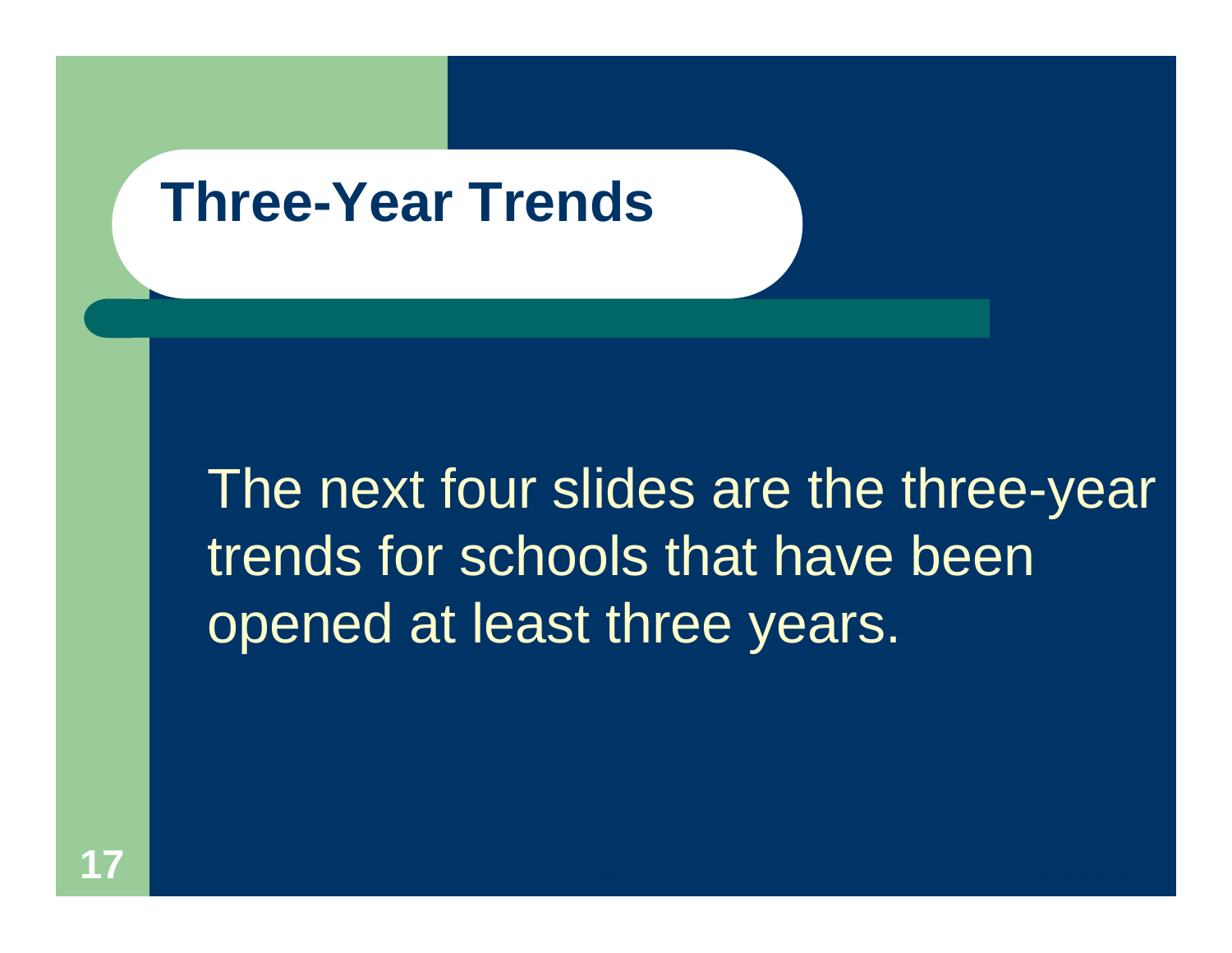### **Three-Year Trends**

The next four slides are the three-year trends for schools that have been opened at least three years.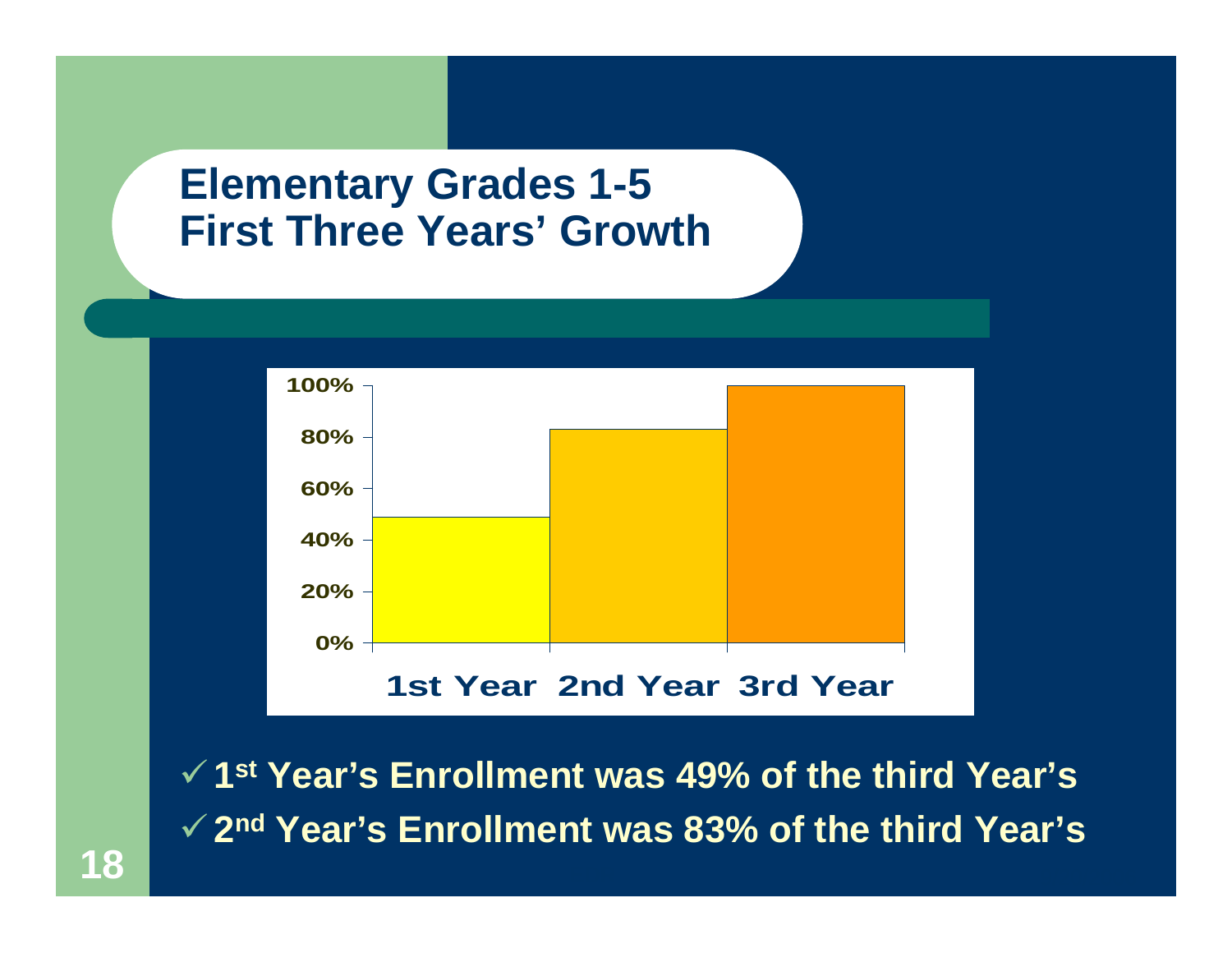



9**1st Year's Enrollment was 49% of the third Year's**  9**2nd Year's Enrollment was 83% of the third Year's**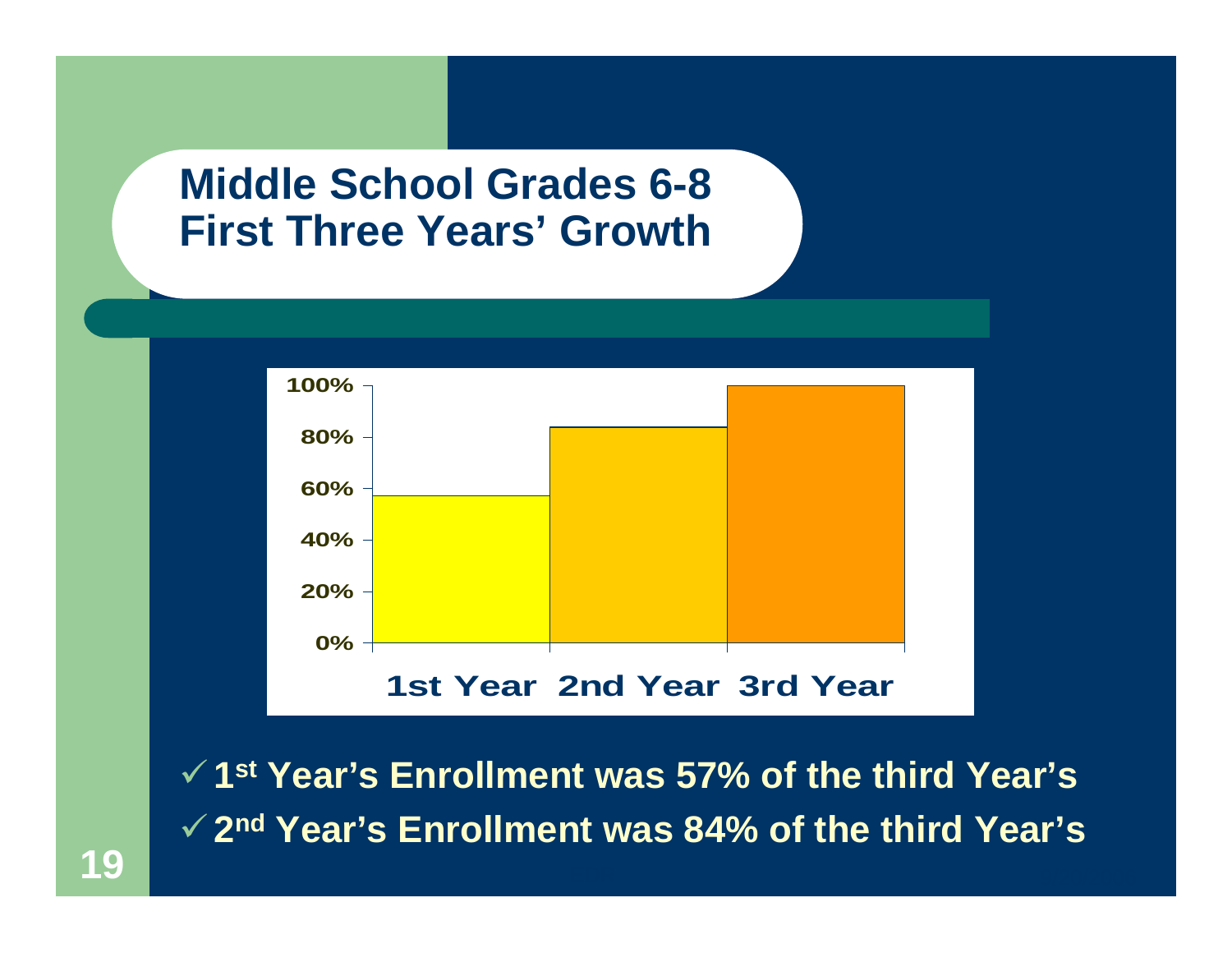



9**1st Year's Enrollment was 57% of the third Year's**  9**2nd Year's Enrollment was 84% of the third Year's**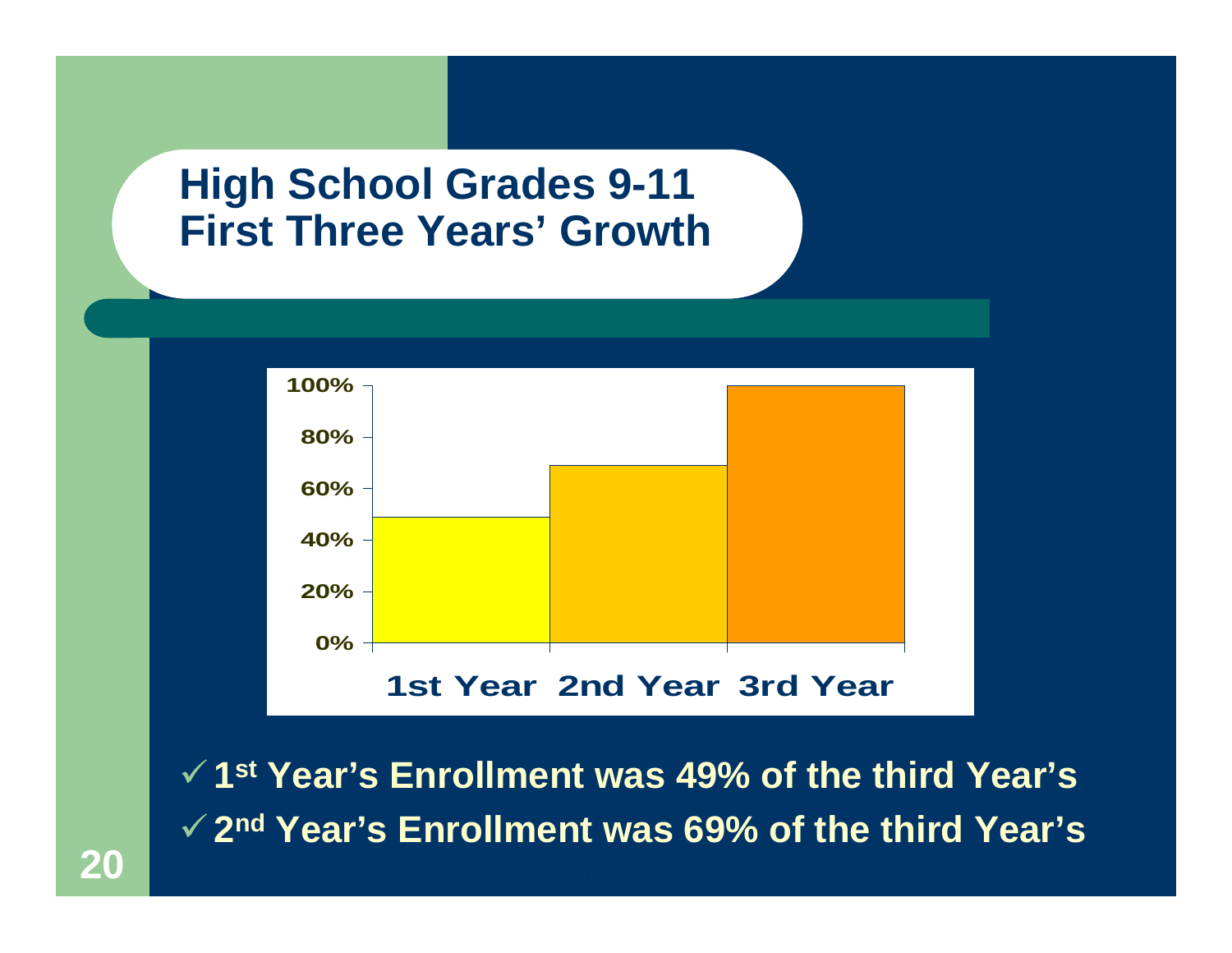

9**1st Year's Enrollment was 49% of the third Year's**  9**2nd Year's Enrollment was 69% of the third Year's**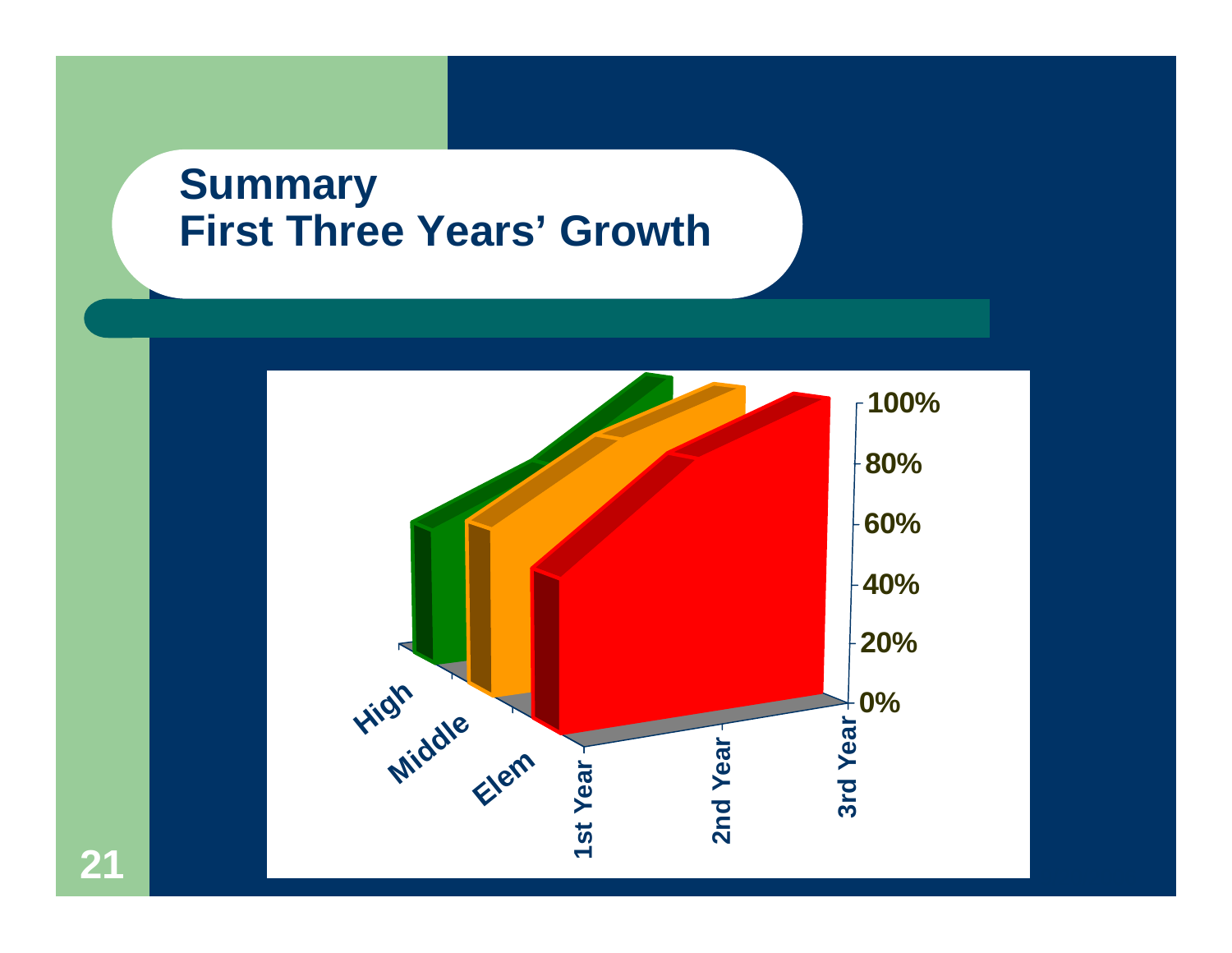#### **Summary First Three Years' Growth**

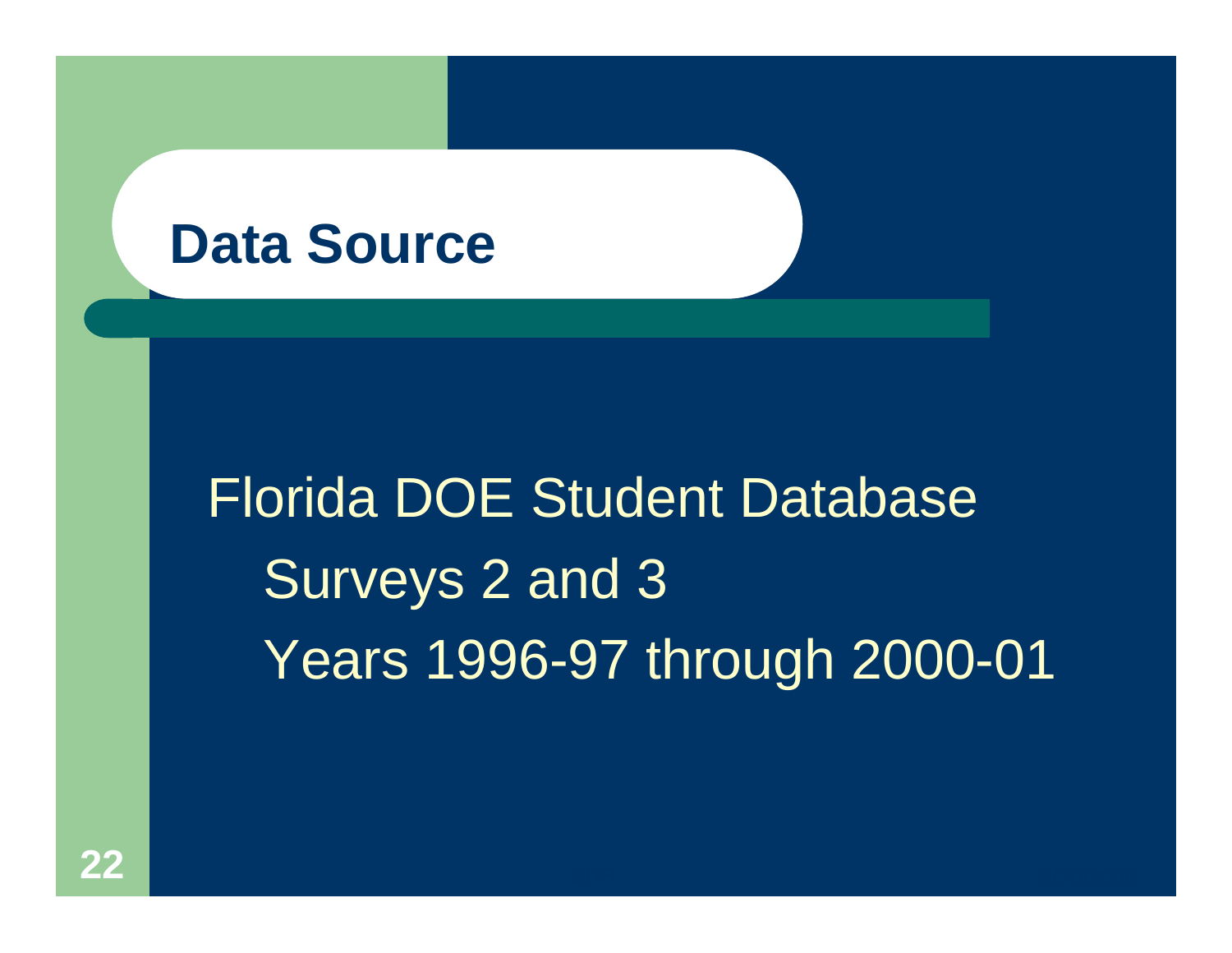#### **Data Source**

# Florida DOE Student Database Surveys 2 and 3 Years 1996-97 through 2000-01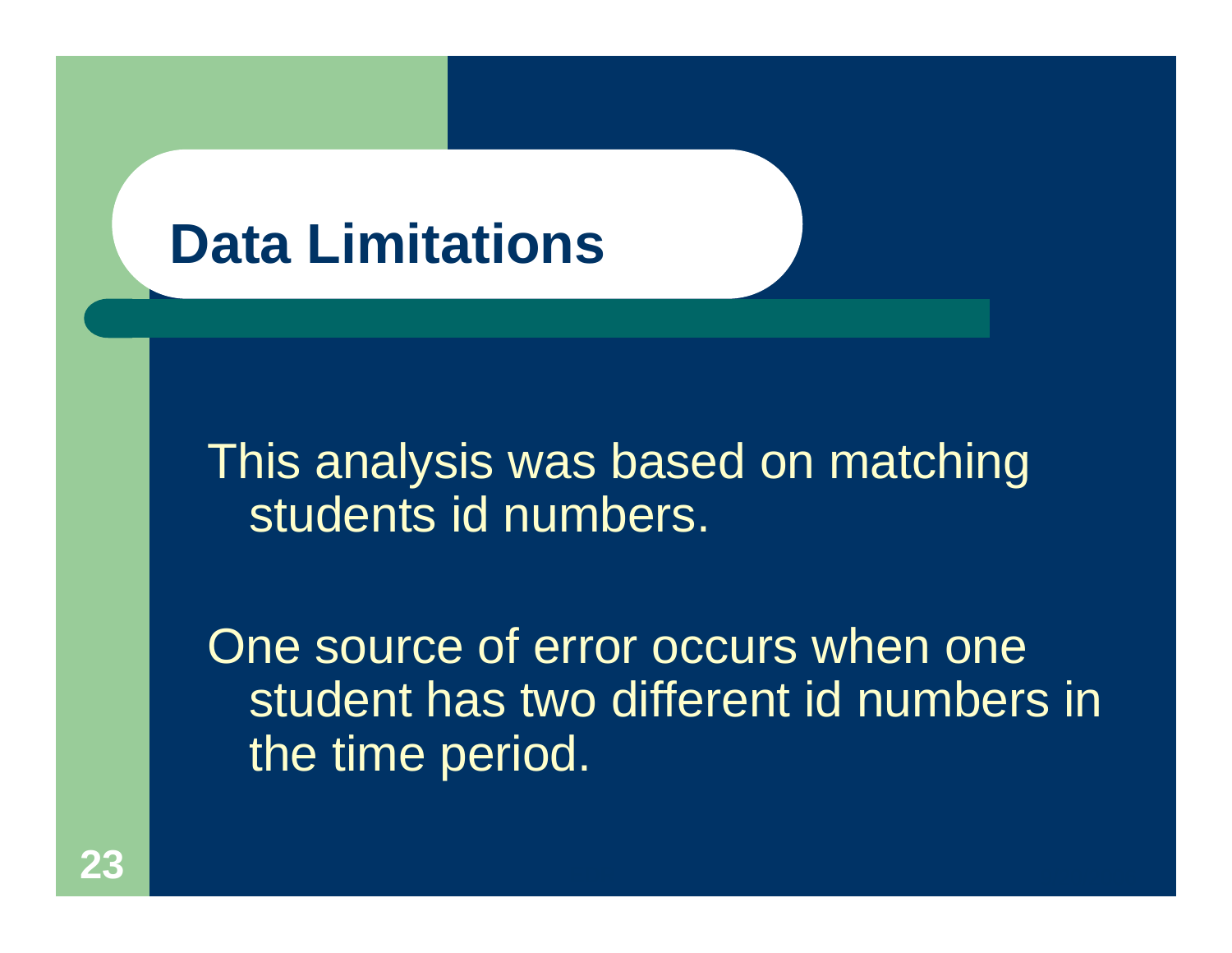## **Data Limitations**

This analysis was based on matching students id numbers.

One source of error occurs when one student has two different id numbers in the time period.